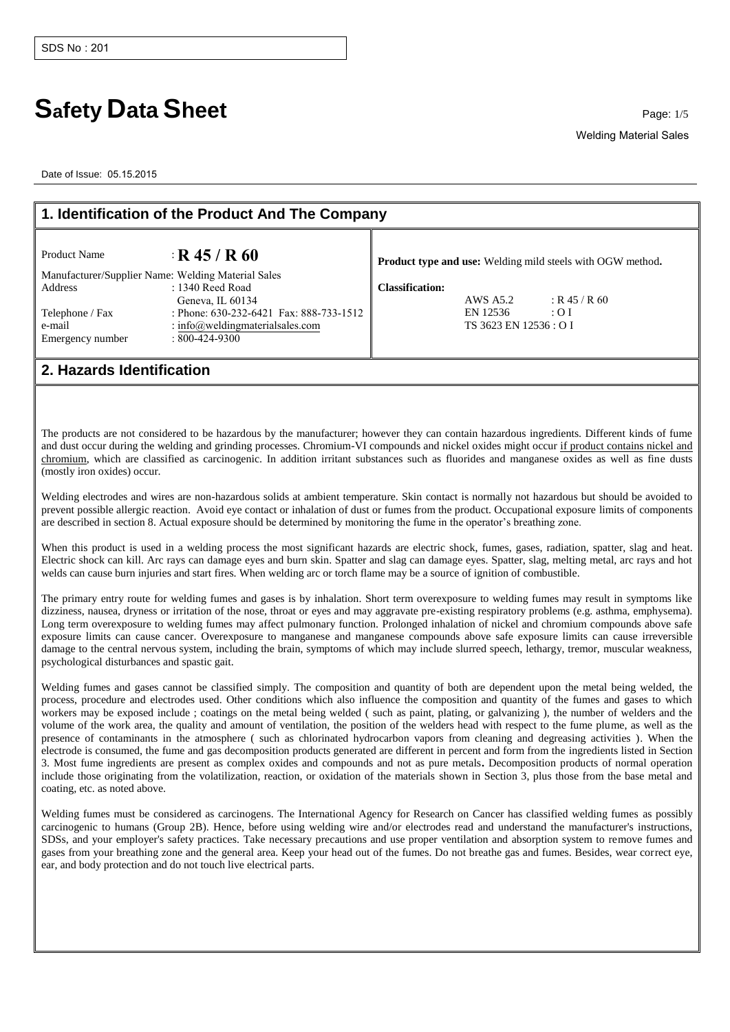## **Safety Data Sheet** Page: 1/5

Date of Issue: 05.15.2015

| 1. Identification of the Product And The Company |                                                    |                                                                   |  |
|--------------------------------------------------|----------------------------------------------------|-------------------------------------------------------------------|--|
| <b>Product Name</b>                              | $\cdot$ R 45 / R 60                                | <b>Product type and use:</b> Welding mild steels with OGW method. |  |
|                                                  | Manufacturer/Supplier Name: Welding Material Sales |                                                                   |  |
| Address                                          | $: 1340$ Reed Road                                 | <b>Classification:</b>                                            |  |
|                                                  | Geneva, IL 60134                                   | $:$ R 45 / R 60<br>AWS A5.2                                       |  |
| Telephone / Fax                                  | : Phone: 630-232-6421 Fax: 888-733-1512            | EN 12536<br>: 01                                                  |  |
| e-mail                                           | : info@weldingmaterialsales.com                    | TS 3623 EN 12536 : O I                                            |  |
| Emergency number                                 | $: 800 - 424 - 9300$                               |                                                                   |  |
|                                                  |                                                    |                                                                   |  |
| 2. Hazards Identification                        |                                                    |                                                                   |  |

The products are not considered to be hazardous by the manufacturer; however they can contain hazardous ingredients. Different kinds of fume and dust occur during the welding and grinding processes. Chromium-VI compounds and nickel oxides might occur if product contains nickel and chromium, which are classified as carcinogenic. In addition irritant substances such as fluorides and manganese oxides as well as fine dusts (mostly iron oxides) occur.

Welding electrodes and wires are non-hazardous solids at ambient temperature. Skin contact is normally not hazardous but should be avoided to prevent possible allergic reaction. Avoid eye contact or inhalation of dust or fumes from the product. Occupational exposure limits of components are described in section 8. Actual exposure should be determined by monitoring the fume in the operator's breathing zone.

When this product is used in a welding process the most significant hazards are electric shock, fumes, gases, radiation, spatter, slag and heat. Electric shock can kill. Arc rays can damage eyes and burn skin. Spatter and slag can damage eyes. Spatter, slag, melting metal, arc rays and hot welds can cause burn injuries and start fires. When welding arc or torch flame may be a source of ignition of combustible.

The primary entry route for welding fumes and gases is by inhalation. Short term overexposure to welding fumes may result in symptoms like dizziness, nausea, dryness or irritation of the nose, throat or eyes and may aggravate pre-existing respiratory problems (e.g. asthma, emphysema). Long term overexposure to welding fumes may affect pulmonary function. Prolonged inhalation of nickel and chromium compounds above safe exposure limits can cause cancer. Overexposure to manganese and manganese compounds above safe exposure limits can cause irreversible damage to the central nervous system, including the brain, symptoms of which may include slurred speech, lethargy, tremor, muscular weakness, psychological disturbances and spastic gait.

Welding fumes and gases cannot be classified simply. The composition and quantity of both are dependent upon the metal being welded, the process, procedure and electrodes used. Other conditions which also influence the composition and quantity of the fumes and gases to which workers may be exposed include ; coatings on the metal being welded ( such as paint, plating, or galvanizing ), the number of welders and the volume of the work area, the quality and amount of ventilation, the position of the welders head with respect to the fume plume, as well as the presence of contaminants in the atmosphere ( such as chlorinated hydrocarbon vapors from cleaning and degreasing activities ). When the electrode is consumed, the fume and gas decomposition products generated are different in percent and form from the ingredients listed in Section 3. Most fume ingredients are present as complex oxides and compounds and not as pure metals**.** Decomposition products of normal operation include those originating from the volatilization, reaction, or oxidation of the materials shown in Section 3, plus those from the base metal and coating, etc. as noted above.

Welding fumes must be considered as carcinogens. The International Agency for Research on Cancer has classified welding fumes as possibly carcinogenic to humans (Group 2B). Hence, before using welding wire and/or electrodes read and understand the manufacturer's instructions, SDSs, and your employer's safety practices. Take necessary precautions and use proper ventilation and absorption system to remove fumes and gases from your breathing zone and the general area. Keep your head out of the fumes. Do not breathe gas and fumes. Besides, wear correct eye, ear, and body protection and do not touch live electrical parts.

Welding Material Sales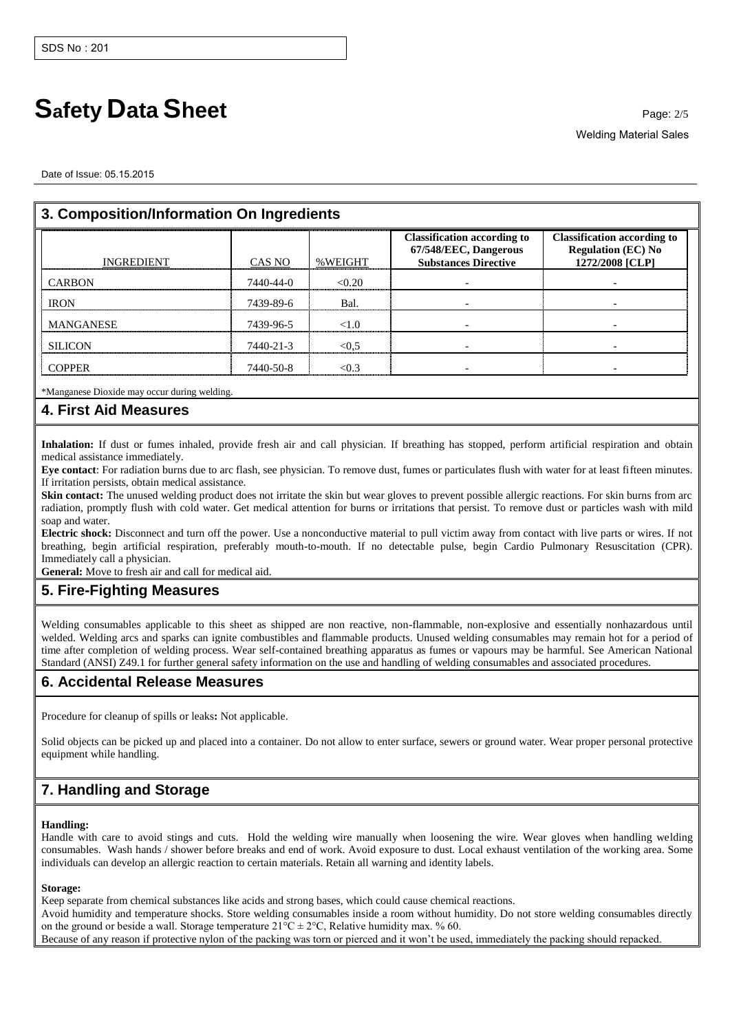# **Safety Data Sheet** Page: 2/5

Welding Material Sales

Date of Issue: 05.15.2015

| 3. Composition/Information On Ingredients |           |         |                                                                                            |                                                                                    |
|-------------------------------------------|-----------|---------|--------------------------------------------------------------------------------------------|------------------------------------------------------------------------------------|
| <b>INGREDIENT</b>                         | CAS NO    | %WEIGHT | <b>Classification according to</b><br>67/548/EEC, Dangerous<br><b>Substances Directive</b> | <b>Classification according to</b><br><b>Regulation (EC) No</b><br>1272/2008 [CLP] |
| <b>CARBON</b>                             | 7440-44-0 | < 0.20  |                                                                                            |                                                                                    |
| <b>IRON</b>                               | 7439-89-6 | Bal.    |                                                                                            |                                                                                    |
| <b>MANGANESE</b>                          | 7439-96-5 |         |                                                                                            |                                                                                    |
| <b>SILICON</b>                            | 7440-21-3 | $<$ 0.5 |                                                                                            |                                                                                    |
| ™∩PPFR                                    | 7440-50-8 |         |                                                                                            |                                                                                    |

\*Manganese Dioxide may occur during welding.

### **4. First Aid Measures**

**Inhalation:** If dust or fumes inhaled, provide fresh air and call physician. If breathing has stopped, perform artificial respiration and obtain medical assistance immediately.

**Eye contact**: For radiation burns due to arc flash, see physician. To remove dust, fumes or particulates flush with water for at least fifteen minutes. If irritation persists, obtain medical assistance.

**Skin contact:** The unused welding product does not irritate the skin but wear gloves to prevent possible allergic reactions. For skin burns from arc radiation, promptly flush with cold water. Get medical attention for burns or irritations that persist. To remove dust or particles wash with mild soap and water.

**Electric shock:** Disconnect and turn off the power. Use a nonconductive material to pull victim away from contact with live parts or wires. If not breathing, begin artificial respiration, preferably mouth-to-mouth. If no detectable pulse, begin Cardio Pulmonary Resuscitation (CPR). Immediately call a physician.

**General:** Move to fresh air and call for medical aid.

## **5. Fire-Fighting Measures**

Welding consumables applicable to this sheet as shipped are non reactive, non-flammable, non-explosive and essentially nonhazardous until welded. Welding arcs and sparks can ignite combustibles and flammable products. Unused welding consumables may remain hot for a period of time after completion of welding process. Wear self-contained breathing apparatus as fumes or vapours may be harmful. See American National Standard (ANSI) Z49.1 for further general safety information on the use and handling of welding consumables and associated procedures.

### **6. Accidental Release Measures**

Procedure for cleanup of spills or leaks**:** Not applicable.

Solid objects can be picked up and placed into a container. Do not allow to enter surface, sewers or ground water. Wear proper personal protective equipment while handling.

## **7. Handling and Storage**

#### **Handling:**

Handle with care to avoid stings and cuts. Hold the welding wire manually when loosening the wire. Wear gloves when handling welding consumables. Wash hands / shower before breaks and end of work. Avoid exposure to dust. Local exhaust ventilation of the working area. Some individuals can develop an allergic reaction to certain materials. Retain all warning and identity labels.

#### **Storage:**

Keep separate from chemical substances like acids and strong bases, which could cause chemical reactions.

Avoid humidity and temperature shocks. Store welding consumables inside a room without humidity. Do not store welding consumables directly on the ground or beside a wall. Storage temperature  $21^{\circ}C \pm 2^{\circ}C$ , Relative humidity max. % 60.

Because of any reason if protective nylon of the packing was torn or pierced and it won't be used, immediately the packing should repacked.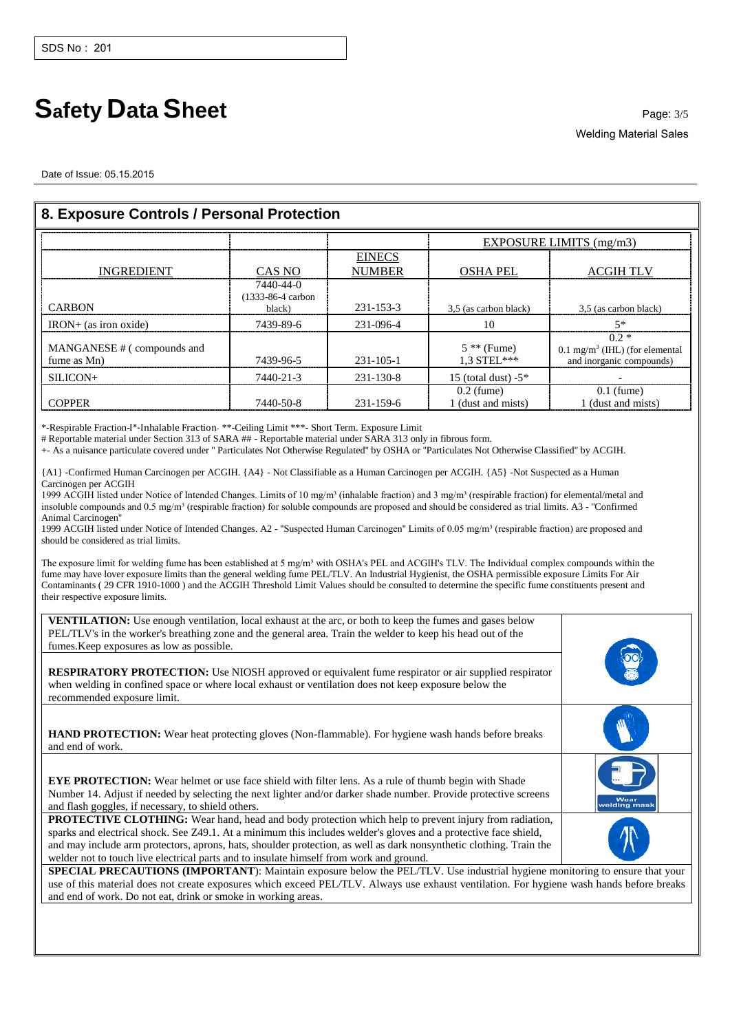# **Safety Data Sheet** Page: 3/5

Welding Material Sales

Date of Issue: 05.15.2015

| 8. Exposure Controls / Personal Protection |                                                |                                |                                    |                                                                                 |
|--------------------------------------------|------------------------------------------------|--------------------------------|------------------------------------|---------------------------------------------------------------------------------|
|                                            |                                                |                                | EXPOSURE LIMITS (mg/m3)            |                                                                                 |
| <b>INGREDIENT</b>                          | CAS NO                                         | <b>EINECS</b><br><b>NUMBER</b> | <b>OSHA PEL</b>                    | <b>ACGIH TLV</b>                                                                |
| <b>CARBON</b>                              | 7440-44-0<br>$(1333 - 86 - 4$ carbon<br>black) | 231-153-3                      | 3,5 (as carbon black)              | 3.5 (as carbon black)                                                           |
| $IRON+$ (as iron oxide)                    | 7439-89-6                                      | 231-096-4                      | 10                                 | $5*$                                                                            |
| MANGANESE # (compounds and<br>fume as Mn)  | 7439-96-5                                      | $231 - 105 - 1$                | $5$ ** (Fume)<br>$1.3$ STEL***     | $0.2*$<br>$0.1 \text{ mg/m}^3$ (IHL) (for elemental<br>and inorganic compounds) |
| $SILLCON+$                                 | 7440-21-3                                      | $231 - 130 - 8$                | 15 (total dust) $-5$ *             |                                                                                 |
| COPPER                                     | 7440-50-8                                      | 231-159-6                      | $0.2$ (fume)<br>1 (dust and mists) | $0.1$ (fume)<br>1 (dust and mists)                                              |

\*-Respirable Fraction-I\*-Inhalable Fraction- \*\*-Ceiling Limit \*\*\*- Short Term. Exposure Limit

# Reportable material under Section 313 of SARA ## - Reportable material under SARA 313 only in fibrous form.

+- As a nuisance particulate covered under '' Particulates Not Otherwise Regulated'' by OSHA or ''Particulates Not Otherwise Classified'' by ACGIH.

{A1} -Confirmed Human Carcinogen per ACGIH. {A4} - Not Classifiable as a Human Carcinogen per ACGIH. {A5} -Not Suspected as a Human Carcinogen per ACGIH

1999 ACGIH listed under Notice of Intended Changes. Limits of 10 mg/m<sup>3</sup> (inhalable fraction) and 3 mg/m<sup>3</sup> (respirable fraction) for elemental/metal and insoluble compounds and 0.5 mg/m<sup>3</sup> (respirable fraction) for soluble compounds are proposed and should be considered as trial limits. A3 - "Confirmed Animal Carcinogen''

1999 ACGIH listed under Notice of Intended Changes. A2 - "Suspected Human Carcinogen" Limits of 0.05 mg/m<sup>3</sup> (respirable fraction) are proposed and should be considered as trial limits.

The exposure limit for welding fume has been established at 5 mg/m<sup>3</sup> with OSHA's PEL and ACGIH's TLV. The Individual complex compounds within the fume may have lover exposure limits than the general welding fume PEL/TLV. An Industrial Hygienist, the OSHA permissible exposure Limits For Air Contaminants ( 29 CFR 1910-1000 ) and the ACGIH Threshold Limit Values should be consulted to determine the specific fume constituents present and their respective exposure limits.

| <b>VENTILATION:</b> Use enough ventilation, local exhaust at the arc, or both to keep the fumes and gases below<br>PEL/TLV's in the worker's breathing zone and the general area. Train the welder to keep his head out of the<br>fumes. Keep exposures as low as possible.<br><b>RESPIRATORY PROTECTION:</b> Use NIOSH approved or equivalent fume respirator or air supplied respirator<br>when welding in confined space or where local exhaust or ventilation does not keep exposure below the<br>recommended exposure limit. |                      |
|-----------------------------------------------------------------------------------------------------------------------------------------------------------------------------------------------------------------------------------------------------------------------------------------------------------------------------------------------------------------------------------------------------------------------------------------------------------------------------------------------------------------------------------|----------------------|
| <b>HAND PROTECTION:</b> Wear heat protecting gloves (Non-flammable). For hygiene wash hands before breaks<br>and end of work.                                                                                                                                                                                                                                                                                                                                                                                                     |                      |
| <b>EYE PROTECTION:</b> Wear helmet or use face shield with filter lens. As a rule of thumb begin with Shade<br>Number 14. Adjust if needed by selecting the next lighter and/or darker shade number. Provide protective screens<br>and flash goggles, if necessary, to shield others.                                                                                                                                                                                                                                             | Wear<br>velding mask |
| PROTECTIVE CLOTHING: Wear hand, head and body protection which help to prevent injury from radiation,<br>sparks and electrical shock. See Z49.1. At a minimum this includes welder's gloves and a protective face shield,<br>and may include arm protectors, aprons, hats, shoulder protection, as well as dark nonsynthetic clothing. Train the<br>welder not to touch live electrical parts and to insulate himself from work and ground.                                                                                       |                      |

**SPECIAL PRECAUTIONS (IMPORTANT):** Maintain exposure below the PEL/TLV. Use industrial hygiene monitoring to ensure that your use of this material does not create exposures which exceed PEL/TLV. Always use exhaust ventilation. For hygiene wash hands before breaks and end of work. Do not eat, drink or smoke in working areas.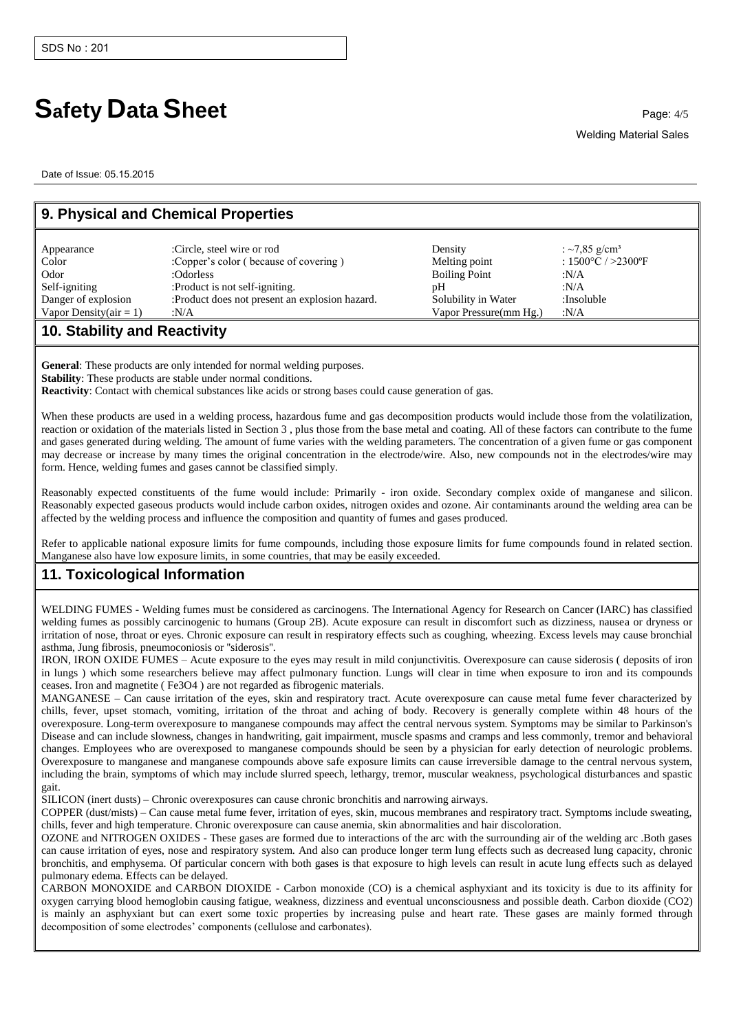# **Safety Data Sheet Page: 4/5**

Date of Issue: 05.15.2015

| 9. Physical and Chemical Properties |                                                |                        |                                        |  |
|-------------------------------------|------------------------------------------------|------------------------|----------------------------------------|--|
| Appearance                          | :Circle, steel wire or rod                     | Density                | : ~7,85 g/cm <sup>3</sup>              |  |
| Color                               | :Copper's color (because of covering)          | Melting point          | : $1500^{\circ}$ C / $>2300^{\circ}$ F |  |
| Odor                                | :Odorless                                      | <b>Boiling Point</b>   | :N/A                                   |  |
| Self-igniting                       | :Product is not self-igniting.                 | pΗ                     | :N/A                                   |  |
| Danger of explosion                 | :Product does not present an explosion hazard. | Solubility in Water    | :Insoluble                             |  |
| Vapor Density $(a$ ir = 1)          | :N/A                                           | Vapor Pressure(mm Hg.) | :N/A                                   |  |
| 40 Ctability and Depathity          |                                                |                        |                                        |  |

### **10. Stability and Reactivity**

**General**: These products are only intended for normal welding purposes. **Stability**: These products are stable under normal conditions. **Reactivity**: Contact with chemical substances like acids or strong bases could cause generation of gas.

When these products are used in a welding process, hazardous fume and gas decomposition products would include those from the volatilization, reaction or oxidation of the materials listed in Section 3 , plus those from the base metal and coating. All of these factors can contribute to the fume and gases generated during welding. The amount of fume varies with the welding parameters. The concentration of a given fume or gas component may decrease or increase by many times the original concentration in the electrode/wire. Also, new compounds not in the electrodes/wire may form. Hence, welding fumes and gases cannot be classified simply.

Reasonably expected constituents of the fume would include: Primarily - iron oxide. Secondary complex oxide of manganese and silicon. Reasonably expected gaseous products would include carbon oxides, nitrogen oxides and ozone. Air contaminants around the welding area can be affected by the welding process and influence the composition and quantity of fumes and gases produced.

Refer to applicable national exposure limits for fume compounds, including those exposure limits for fume compounds found in related section. Manganese also have low exposure limits, in some countries, that may be easily exceeded.

## **11. Toxicological Information**

WELDING FUMES - Welding fumes must be considered as carcinogens. The International Agency for Research on Cancer (IARC) has classified welding fumes as possibly carcinogenic to humans (Group 2B). Acute exposure can result in discomfort such as dizziness, nausea or dryness or irritation of nose, throat or eyes. Chronic exposure can result in respiratory effects such as coughing, wheezing. Excess levels may cause bronchial asthma, Jung fibrosis, pneumoconiosis or ''siderosis''.

IRON, IRON OXIDE FUMES – Acute exposure to the eyes may result in mild conjunctivitis. Overexposure can cause siderosis ( deposits of iron in lungs ) which some researchers believe may affect pulmonary function. Lungs will clear in time when exposure to iron and its compounds ceases. Iron and magnetite ( Fe3O4 ) are not regarded as fibrogenic materials.

MANGANESE – Can cause irritation of the eyes, skin and respiratory tract. Acute overexposure can cause metal fume fever characterized by chills, fever, upset stomach, vomiting, irritation of the throat and aching of body. Recovery is generally complete within 48 hours of the overexposure. Long-term overexposure to manganese compounds may affect the central nervous system. Symptoms may be similar to Parkinson's Disease and can include slowness, changes in handwriting, gait impairment, muscle spasms and cramps and less commonly, tremor and behavioral changes. Employees who are overexposed to manganese compounds should be seen by a physician for early detection of neurologic problems. Overexposure to manganese and manganese compounds above safe exposure limits can cause irreversible damage to the central nervous system, including the brain, symptoms of which may include slurred speech, lethargy, tremor, muscular weakness, psychological disturbances and spastic gait.

SILICON (inert dusts) – Chronic overexposures can cause chronic bronchitis and narrowing airways.

COPPER (dust/mists) – Can cause metal fume fever, irritation of eyes, skin, mucous membranes and respiratory tract. Symptoms include sweating, chills, fever and high temperature. Chronic overexposure can cause anemia, skin abnormalities and hair discoloration.

OZONE and NITROGEN OXIDES - These gases are formed due to interactions of the arc with the surrounding air of the welding arc .Both gases can cause irritation of eyes, nose and respiratory system. And also can produce longer term lung effects such as decreased lung capacity, chronic bronchitis, and emphysema. Of particular concern with both gases is that exposure to high levels can result in acute lung effects such as delayed pulmonary edema. Effects can be delayed.

CARBON MONOXIDE and CARBON DIOXIDE - Carbon monoxide (CO) is a chemical asphyxiant and its toxicity is due to its affinity for oxygen carrying blood hemoglobin causing fatigue, weakness, dizziness and eventual unconsciousness and possible death. Carbon dioxide (CO2) is mainly an asphyxiant but can exert some toxic properties by increasing pulse and heart rate. These gases are mainly formed through decomposition of some electrodes' components (cellulose and carbonates).

Welding Material Sales